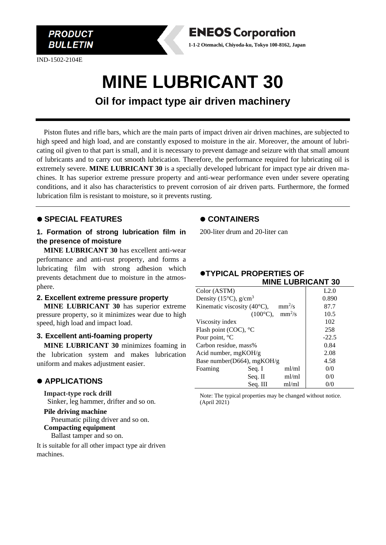

IND-1502-2104E



**Oil for impact type air driven machinery**

Piston flutes and rifle bars, which are the main parts of impact driven air driven machines, are subjected to high speed and high load, and are constantly exposed to moisture in the air. Moreover, the amount of lubricating oil given to that part is small, and it is necessary to prevent damage and seizure with that small amount of lubricants and to carry out smooth lubrication. Therefore, the performance required for lubricating oil is extremely severe. **MINE LUBRICANT 30** is a specially developed lubricant for impact type air driven machines. It has superior extreme pressure property and anti-wear performance even under severe operating conditions, and it also has characteristics to prevent corrosion of air driven parts. Furthermore, the formed lubrication film is resistant to moisture, so it prevents rusting.

## ⚫ **SPECIAL FEATURES**

### **1. Formation of strong lubrication film in the presence of moisture**

**MINE LUBRICANT 30** has excellent anti-wear performance and anti-rust property, and forms a lubricating film with strong adhesion which prevents detachment due to moisture in the atmosphere.

#### **2. Excellent extreme pressure property**

**MINE LUBRICANT 30** has superior extreme pressure property, so it minimizes wear due to high speed, high load and impact load.

#### **3. Excellent anti-foaming property**

**MINE LUBRICANT 30** minimizes foaming in the lubrication system and makes lubrication uniform and makes adjustment easier.

## ⚫ **APPLICATIONS**

**Impact-type rock drill** Sinker, leg hammer, drifter and so on.

**Pile driving machine** Pneumatic piling driver and so on.

**Compacting equipment**

Ballast tamper and so on.

It is suitable for all other impact type air driven machines.

### ⚫ **CONTAINERS**

200-liter drum and 20-liter can

**ENEOS Corporation 1-1-2 Otemachi, Chiyoda-ku, Tokyo 100-8162, Japan**

| Color (ASTM)                                 |                                       |       | L2.0    |
|----------------------------------------------|---------------------------------------|-------|---------|
| Density (15 $^{\circ}$ C), g/cm <sup>3</sup> |                                       |       | 0.890   |
| Kinematic viscosity (40°C),<br>$mm^2/s$      |                                       |       | 87.7    |
|                                              | $(100^{\circ}C)$ , mm <sup>2</sup> /s |       | 10.5    |
| Viscosity index                              |                                       |       | 102     |
| Flash point (COC), °C                        |                                       |       | 258     |
| Pour point, °C                               |                                       |       | $-22.5$ |
| Carbon residue, mass%                        |                                       |       | 0.84    |
| Acid number, $mgKOH/g$                       |                                       |       | 2.08    |
| Base number(D664), mgKOH/g                   |                                       |       | 4.58    |
| Foaming                                      | Seq. I                                | ml/ml | 0/0     |
|                                              | Seq. II                               | ml/ml | 0/0     |
|                                              | Seq. III                              | ml/ml | 0/0     |

Note: The typical properties may be changed without notice. (April 2021)

#### ⚫**TYPICAL PROPERTIES OF MINE LUBRICANT 30**